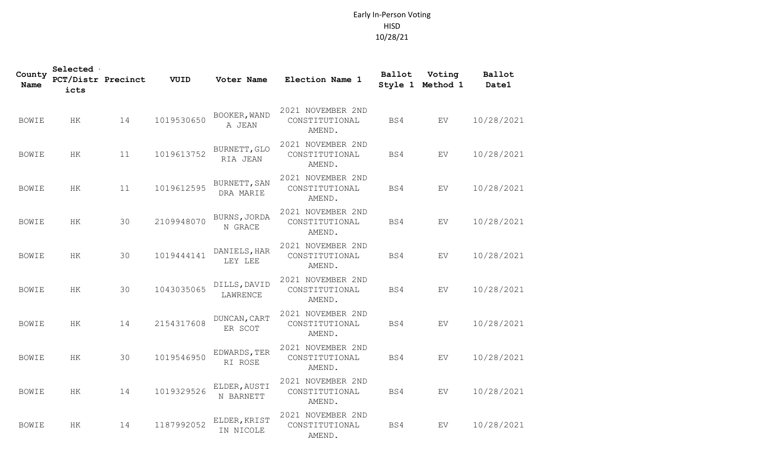## Early In-Person Voting HISD 10/28/21

| County<br>Name | Selected<br><b>PCT/Distr Precinct</b><br>icts |    | VUID       | Voter Name                | Election Name 1                               | Ballot | Voting<br>Style 1 Method 1 | Ballot<br>Date1 |
|----------------|-----------------------------------------------|----|------------|---------------------------|-----------------------------------------------|--------|----------------------------|-----------------|
| <b>BOWIE</b>   | HK                                            | 14 | 1019530650 | BOOKER, WAND<br>A JEAN    | 2021 NOVEMBER 2ND<br>CONSTITUTIONAL<br>AMEND. | BS4    | EV                         | 10/28/2021      |
| <b>BOWIE</b>   | HK                                            | 11 | 1019613752 | BURNETT, GLO<br>RIA JEAN  | 2021 NOVEMBER 2ND<br>CONSTITUTIONAL<br>AMEND. | BS4    | EV                         | 10/28/2021      |
| <b>BOWIE</b>   | HK                                            | 11 | 1019612595 | BURNETT, SAN<br>DRA MARIE | 2021 NOVEMBER 2ND<br>CONSTITUTIONAL<br>AMEND. | BS4    | EV                         | 10/28/2021      |
| <b>BOWIE</b>   | HK.                                           | 30 | 2109948070 | BURNS, JORDA<br>N GRACE   | 2021 NOVEMBER 2ND<br>CONSTITUTIONAL<br>AMEND. | BS4    | EV.                        | 10/28/2021      |
| <b>BOWIE</b>   | HK                                            | 30 | 1019444141 | DANIELS, HAR<br>LEY LEE   | 2021 NOVEMBER 2ND<br>CONSTITUTIONAL<br>AMEND. | BS4    | EV                         | 10/28/2021      |
| <b>BOWIE</b>   | HK                                            | 30 | 1043035065 | DILLS, DAVID<br>LAWRENCE  | 2021 NOVEMBER 2ND<br>CONSTITUTIONAL<br>AMEND. | BS4    | EV                         | 10/28/2021      |
| <b>BOWIE</b>   | HK                                            | 14 | 2154317608 | DUNCAN, CART<br>ER SCOT   | 2021 NOVEMBER 2ND<br>CONSTITUTIONAL<br>AMEND. | BS4    | <b>EV</b>                  | 10/28/2021      |
| <b>BOWIE</b>   | HK                                            | 30 | 1019546950 | EDWARDS, TER<br>RI ROSE   | 2021 NOVEMBER 2ND<br>CONSTITUTIONAL<br>AMEND. | BS4    | EV                         | 10/28/2021      |
| <b>BOWIE</b>   | HK                                            | 14 | 1019329526 | ELDER, AUSTI<br>N BARNETT | 2021 NOVEMBER 2ND<br>CONSTITUTIONAL<br>AMEND. | BS4    | EV                         | 10/28/2021      |
| <b>BOWIE</b>   | HK                                            | 14 | 1187992052 | ELDER, KRIST<br>IN NICOLE | 2021 NOVEMBER 2ND<br>CONSTITUTIONAL<br>AMEND. | BS4    | EV                         | 10/28/2021      |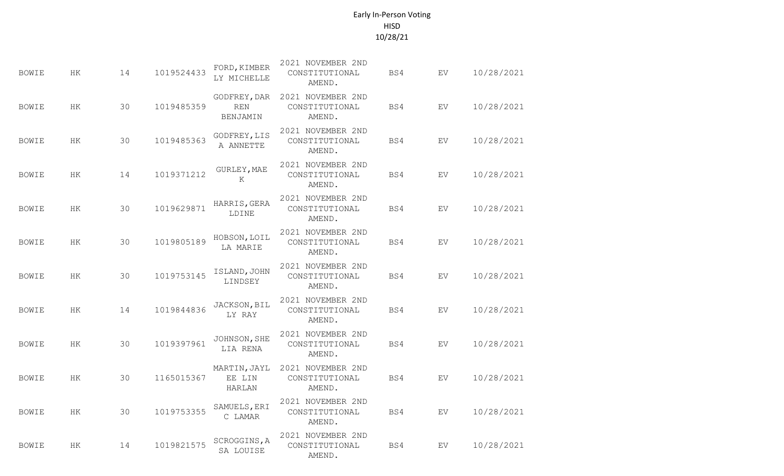## Early In-Person Voting HISD 10/28/21

| <b>BOWIE</b> | HK        | 14 | 1019524433 | FORD, KIMBER<br>LY MICHELLE            | 2021 NOVEMBER 2ND<br>CONSTITUTIONAL<br>AMEND. | BS4 | EV        | 10/28/2021 |
|--------------|-----------|----|------------|----------------------------------------|-----------------------------------------------|-----|-----------|------------|
| <b>BOWIE</b> | HK.       | 30 | 1019485359 | GODFREY, DAR<br>REN<br><b>BENJAMIN</b> | 2021 NOVEMBER 2ND<br>CONSTITUTIONAL<br>AMEND. | BS4 | EV        | 10/28/2021 |
| <b>BOWIE</b> | HK        | 30 | 1019485363 | GODFREY, LIS<br>A ANNETTE              | 2021 NOVEMBER 2ND<br>CONSTITUTIONAL<br>AMEND. | BS4 | EV        | 10/28/2021 |
| <b>BOWIE</b> | HК        | 14 | 1019371212 | GURLEY, MAE<br>K                       | 2021 NOVEMBER 2ND<br>CONSTITUTIONAL<br>AMEND. | BS4 | EV        | 10/28/2021 |
| <b>BOWIE</b> | HK        | 30 | 1019629871 | HARRIS, GERA<br>LDINE                  | 2021 NOVEMBER 2ND<br>CONSTITUTIONAL<br>AMEND. | BS4 | <b>EV</b> | 10/28/2021 |
| <b>BOWIE</b> | HK        | 30 | 1019805189 | HOBSON, LOIL<br>LA MARIE               | 2021 NOVEMBER 2ND<br>CONSTITUTIONAL<br>AMEND. | BS4 | EV        | 10/28/2021 |
| <b>BOWIE</b> | HK        | 30 | 1019753145 | ISLAND, JOHN<br>LINDSEY                | 2021 NOVEMBER 2ND<br>CONSTITUTIONAL<br>AMEND. | BS4 | EV.       | 10/28/2021 |
| <b>BOWIE</b> | <b>HK</b> | 14 | 1019844836 | JACKSON, BIL<br>LY RAY                 | 2021 NOVEMBER 2ND<br>CONSTITUTIONAL<br>AMEND. | BS4 | EV        | 10/28/2021 |
| <b>BOWIE</b> | HK        | 30 | 1019397961 | JOHNSON, SHE<br>LIA RENA               | 2021 NOVEMBER 2ND<br>CONSTITUTIONAL<br>AMEND. | BS4 | <b>EV</b> | 10/28/2021 |
| <b>BOWIE</b> | HK        | 30 | 1165015367 | MARTIN, JAYL<br>EE LIN<br>HARLAN       | 2021 NOVEMBER 2ND<br>CONSTITUTIONAL<br>AMEND. | BS4 | <b>EV</b> | 10/28/2021 |
| <b>BOWIE</b> | HK.       | 30 | 1019753355 | SAMUELS, ERI<br>C LAMAR                | 2021 NOVEMBER 2ND<br>CONSTITUTIONAL<br>AMEND. | BS4 | EV        | 10/28/2021 |
| <b>BOWIE</b> | HK        | 14 | 1019821575 | SCROGGINS, A<br>SA LOUISE              | 2021 NOVEMBER 2ND<br>CONSTITUTIONAL<br>AMEND. | BS4 | EV        | 10/28/2021 |